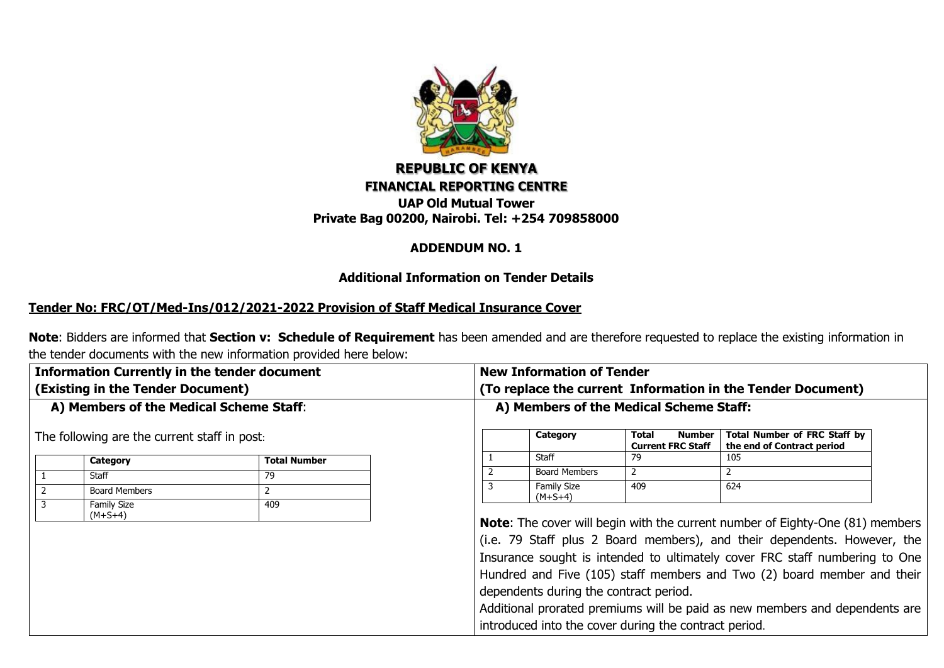

# **REPUBLIC OF KENYA FINANCIAL REPORTING CENTRE UAP Old Mutual Tower**

**Private Bag 00200, Nairobi. Tel: +254 709858000**

#### **ADDENDUM NO. 1**

#### **Additional Information on Tender Details**

## **Tender No: FRC/OT/Med-Ins/012/2021-2022 Provision of Staff Medical Insurance Cover**

**Note**: Bidders are informed that **Section v: Schedule of Requirement** has been amended and are therefore requested to replace the existing information in the tender documents with the new information provided here below:

| <b>Information Currently in the tender document</b>                                                                                                                                                                                   |  |                                         | <b>New Information of Tender</b>                                                                                                                                                                                                                                                                                                                                                                                                                                                                             |                                             |                                                                   |  |  |  |  |  |  |
|---------------------------------------------------------------------------------------------------------------------------------------------------------------------------------------------------------------------------------------|--|-----------------------------------------|--------------------------------------------------------------------------------------------------------------------------------------------------------------------------------------------------------------------------------------------------------------------------------------------------------------------------------------------------------------------------------------------------------------------------------------------------------------------------------------------------------------|---------------------------------------------|-------------------------------------------------------------------|--|--|--|--|--|--|
|                                                                                                                                                                                                                                       |  |                                         | (To replace the current Information in the Tender Document)                                                                                                                                                                                                                                                                                                                                                                                                                                                  |                                             |                                                                   |  |  |  |  |  |  |
| (Existing in the Tender Document)<br>A) Members of the Medical Scheme Staff:<br>The following are the current staff in post.<br>Total Number<br>Category<br>Staff<br>79<br><b>Board Members</b><br>2<br>Family Size<br>409<br>(M+S+4) |  | A) Members of the Medical Scheme Staff: |                                                                                                                                                                                                                                                                                                                                                                                                                                                                                                              |                                             |                                                                   |  |  |  |  |  |  |
|                                                                                                                                                                                                                                       |  |                                         | Category                                                                                                                                                                                                                                                                                                                                                                                                                                                                                                     | Total<br>Number<br><b>Current FRC Staff</b> | <b>Total Number of FRC Staff by</b><br>the end of Contract period |  |  |  |  |  |  |
|                                                                                                                                                                                                                                       |  |                                         | Staff                                                                                                                                                                                                                                                                                                                                                                                                                                                                                                        |                                             | 105                                                               |  |  |  |  |  |  |
|                                                                                                                                                                                                                                       |  |                                         | <b>Board Members</b>                                                                                                                                                                                                                                                                                                                                                                                                                                                                                         |                                             |                                                                   |  |  |  |  |  |  |
|                                                                                                                                                                                                                                       |  | 3                                       | <b>Family Size</b><br>$(M+S+4)$                                                                                                                                                                                                                                                                                                                                                                                                                                                                              | 409                                         | 624                                                               |  |  |  |  |  |  |
|                                                                                                                                                                                                                                       |  |                                         | <b>Note:</b> The cover will begin with the current number of Eighty-One (81) members<br>(i.e. 79 Staff plus 2 Board members), and their dependents. However, the<br>Insurance sought is intended to ultimately cover FRC staff numbering to One<br>Hundred and Five (105) staff members and Two (2) board member and their<br>dependents during the contract period.<br>Additional prorated premiums will be paid as new members and dependents are<br>introduced into the cover during the contract period. |                                             |                                                                   |  |  |  |  |  |  |